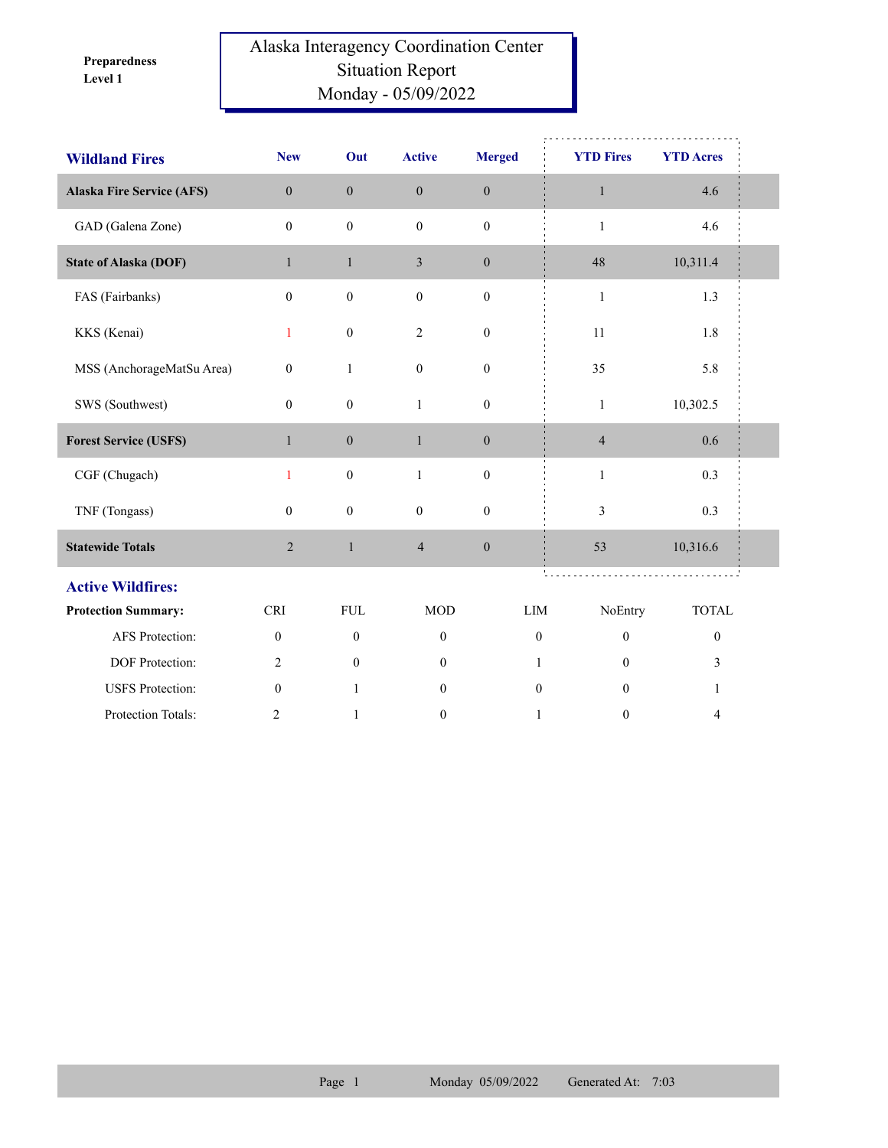**Level 1 Preparedness** 

## Alaska Interagency Coordination Center Situation Report Monday - 05/09/2022

| <b>Wildland Fires</b>            | <b>New</b>       | Out              | <b>Active</b>    | <b>Merged</b>    | <b>YTD Fires</b> | <b>YTD Acres</b> |  |
|----------------------------------|------------------|------------------|------------------|------------------|------------------|------------------|--|
| <b>Alaska Fire Service (AFS)</b> | $\mathbf{0}$     | $\mathbf{0}$     | $\boldsymbol{0}$ | $\boldsymbol{0}$ | $\mathbf{1}$     | 4.6              |  |
| GAD (Galena Zone)                | $\mathbf{0}$     | $\mathbf{0}$     | $\boldsymbol{0}$ | $\mathbf{0}$     | $\mathbf{1}$     | 4.6              |  |
| <b>State of Alaska (DOF)</b>     | $\mathbf{1}$     | $\mathbf{1}$     | $\mathfrak{Z}$   | $\mathbf{0}$     | 48               | 10,311.4         |  |
| FAS (Fairbanks)                  | $\mathbf{0}$     | $\boldsymbol{0}$ | $\boldsymbol{0}$ | $\boldsymbol{0}$ | $\mathbf{1}$     | 1.3              |  |
| KKS (Kenai)                      | 1                | $\boldsymbol{0}$ | $\overline{2}$   | $\mathbf{0}$     | 11               | 1.8              |  |
| MSS (AnchorageMatSu Area)        | $\boldsymbol{0}$ | $\mathbf{1}$     | $\boldsymbol{0}$ | $\boldsymbol{0}$ | 35               | 5.8              |  |
| SWS (Southwest)                  | $\mathbf{0}$     | $\boldsymbol{0}$ | $\mathbf{1}$     | $\boldsymbol{0}$ | $\mathbf{1}$     | 10,302.5         |  |
| <b>Forest Service (USFS)</b>     | $\mathbf{1}$     | $\boldsymbol{0}$ | $\mathbf{1}$     | $\boldsymbol{0}$ | $\overline{4}$   | 0.6              |  |
| CGF (Chugach)                    | 1                | $\boldsymbol{0}$ | $\mathbf{1}$     | $\boldsymbol{0}$ | $\mathbf{1}$     | 0.3              |  |
| TNF (Tongass)                    | $\overline{0}$   | $\boldsymbol{0}$ | $\boldsymbol{0}$ | $\boldsymbol{0}$ | 3                | 0.3              |  |
| <b>Statewide Totals</b>          | $\overline{c}$   | $\mathbf{1}$     | $\overline{4}$   | $\boldsymbol{0}$ | 53               | 10,316.6         |  |
| <b>Active Wildfires:</b>         |                  |                  |                  |                  |                  |                  |  |
| <b>Protection Summary:</b>       | <b>CRI</b>       | <b>FUL</b>       | <b>MOD</b>       | LIM              | NoEntry          | <b>TOTAL</b>     |  |
| AFS Protection:                  | $\boldsymbol{0}$ | $\boldsymbol{0}$ | $\boldsymbol{0}$ | $\boldsymbol{0}$ | $\boldsymbol{0}$ | $\boldsymbol{0}$ |  |
| DOF Protection:                  | 2                | $\overline{0}$   | $\mathbf{0}$     | $\mathbf{1}$     | $\mathbf{0}$     | 3                |  |
| <b>USFS</b> Protection:          | $\theta$         | $\mathbf{1}$     | $\mathbf{0}$     | $\theta$         | $\theta$         | $\mathbf{1}$     |  |
| Protection Totals:               | $\overline{2}$   | $\mathbf{1}$     | $\mathbf{0}$     | $\mathbf{1}$     | $\mathbf{0}$     | $\overline{4}$   |  |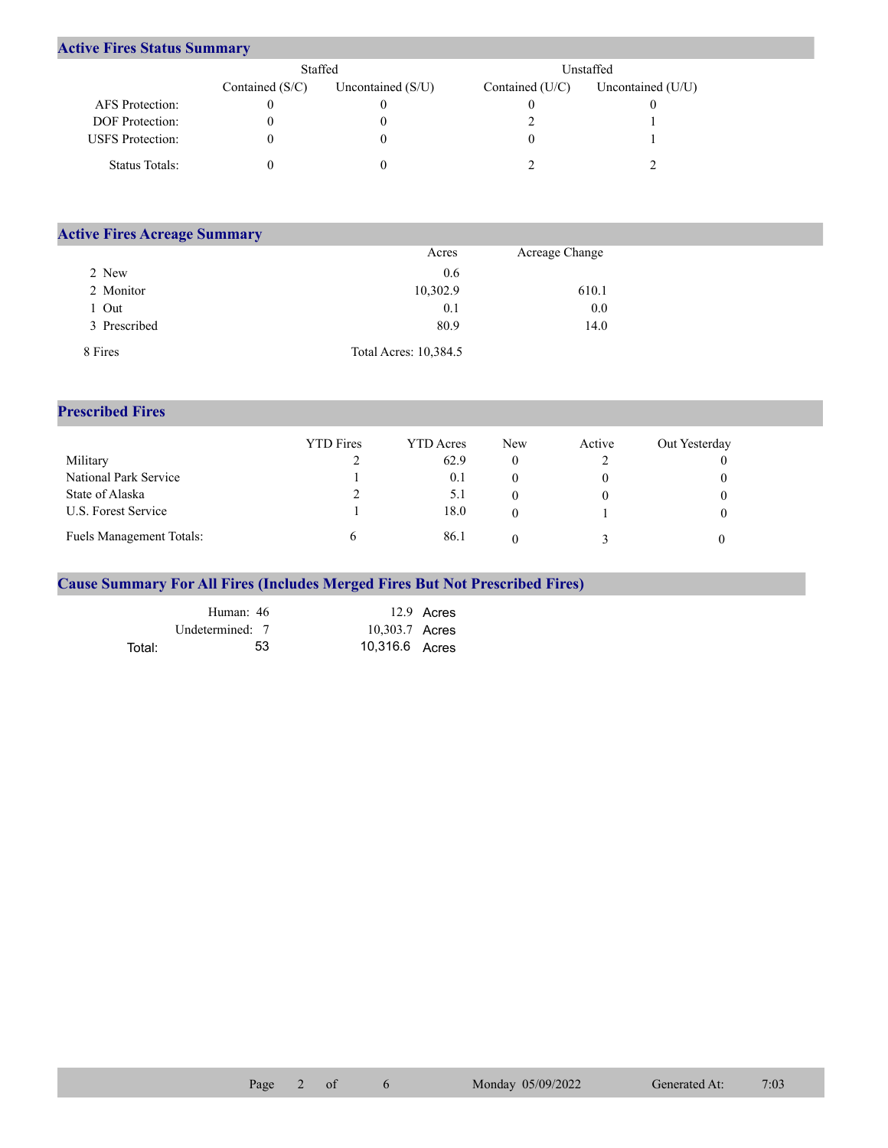## **Active Fires Status Summary**

|                         | Staffed           |                     |                   | Unstaffed.          |
|-------------------------|-------------------|---------------------|-------------------|---------------------|
|                         | Contained $(S/C)$ | Uncontained $(S/U)$ | Contained $(U/C)$ | Uncontained $(U/U)$ |
| AFS Protection:         |                   |                     |                   |                     |
| <b>DOF</b> Protection:  |                   |                     |                   |                     |
| <b>USFS</b> Protection: |                   |                     |                   |                     |
| Status Totals:          |                   |                     |                   |                     |

| <b>Active Fires Acreage Summary</b> |                       |                |  |  |  |  |  |  |
|-------------------------------------|-----------------------|----------------|--|--|--|--|--|--|
|                                     | Acres                 | Acreage Change |  |  |  |  |  |  |
| 2 New                               | 0.6                   |                |  |  |  |  |  |  |
| 2 Monitor                           | 10,302.9              | 610.1          |  |  |  |  |  |  |
| Out                                 | 0.1                   | 0.0            |  |  |  |  |  |  |
| 3 Prescribed                        | 80.9                  | 14.0           |  |  |  |  |  |  |
| 8 Fires                             | Total Acres: 10,384.5 |                |  |  |  |  |  |  |

## **Prescribed Fires**

|                                 | <b>YTD</b> Fires | <b>YTD</b> Acres | <b>New</b> | Active | Out Yesterday |
|---------------------------------|------------------|------------------|------------|--------|---------------|
| Military                        |                  | 62.9             |            |        |               |
| National Park Service           |                  | 0.1              |            |        |               |
| State of Alaska                 |                  | 5.1              |            |        |               |
| U.S. Forest Service             |                  | 18.0             |            |        |               |
| <b>Fuels Management Totals:</b> |                  | 86.1             |            |        |               |

## **Cause Summary For All Fires (Includes Merged Fires But Not Prescribed Fires)**

|        | Human: 46       |                | 12.9 Acres |
|--------|-----------------|----------------|------------|
|        | Undetermined: 7 | 10,303.7 Acres |            |
| Total: | 53.             | 10,316.6 Acres |            |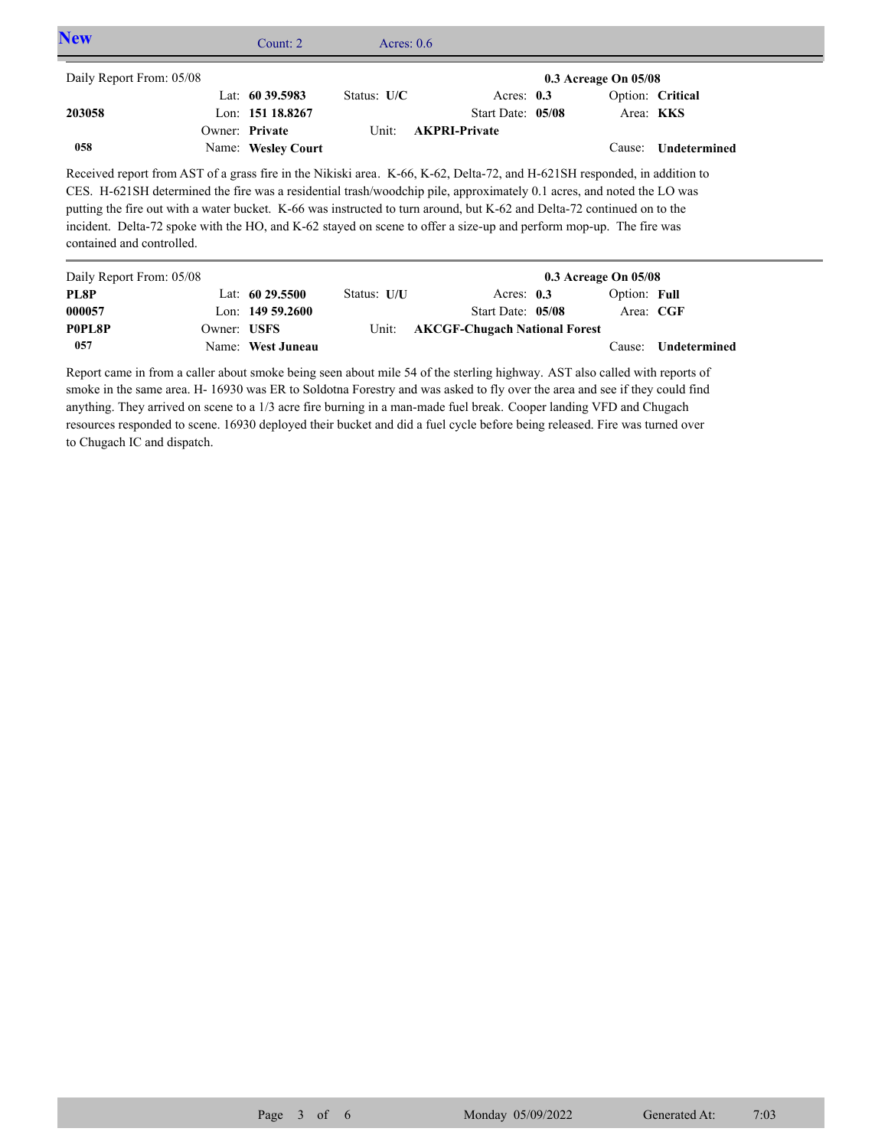| <b>New</b>                | Count: $2$                                                                                                                                                                                                                                                                                                                                                                                                                                                                                          | Acres: $0.6$  |                      |                          |                     |  |
|---------------------------|-----------------------------------------------------------------------------------------------------------------------------------------------------------------------------------------------------------------------------------------------------------------------------------------------------------------------------------------------------------------------------------------------------------------------------------------------------------------------------------------------------|---------------|----------------------|--------------------------|---------------------|--|
| Daily Report From: 05/08  |                                                                                                                                                                                                                                                                                                                                                                                                                                                                                                     |               |                      | $0.3$ Acreage On $05/08$ |                     |  |
|                           | Lat: $60\,39.5983$                                                                                                                                                                                                                                                                                                                                                                                                                                                                                  | Status: $U/C$ | Acres: $0.3$         |                          | Option: Critical    |  |
| 203058                    | Lon: 151 18.8267                                                                                                                                                                                                                                                                                                                                                                                                                                                                                    |               | Start Date: 05/08    |                          | Area: KKS           |  |
|                           | Owner: Private                                                                                                                                                                                                                                                                                                                                                                                                                                                                                      | Unit:         | <b>AKPRI-Private</b> |                          |                     |  |
| 058                       | Name: Wesley Court                                                                                                                                                                                                                                                                                                                                                                                                                                                                                  |               |                      | Cause:                   | <b>Undetermined</b> |  |
| contained and controlled. | Received report from AST of a grass fire in the Nikiski area. K-66, K-62, Delta-72, and H-621SH responded, in addition to<br>CES. H-621SH determined the fire was a residential trash/woodchip pile, approximately 0.1 acres, and noted the LO was<br>putting the fire out with a water bucket. K-66 was instructed to turn around, but K-62 and Delta-72 continued on to the<br>incident. Delta-72 spoke with the HO, and K-62 stayed on scene to offer a size-up and perform mop-up. The fire was |               |                      |                          |                     |  |

| Daily Report From: 05/08 |             |                   |             |                                     | $0.3$ Acreage On $05/08$ |              |              |
|--------------------------|-------------|-------------------|-------------|-------------------------------------|--------------------------|--------------|--------------|
| PL8P                     |             | Lat: $6029.5500$  | Status: U/U | Acres: $0.3$                        |                          | Option: Full |              |
| 000057                   |             | Lon: $14959.2600$ |             | Start Date: 05/08                   |                          | Area: CGF    |              |
| P0PL8P                   | Owner: USFS |                   |             | Unit: AKCGF-Chugach National Forest |                          |              |              |
| 057                      |             | Name: West Juneau |             |                                     |                          | Cause:       | Undetermined |

Report came in from a caller about smoke being seen about mile 54 of the sterling highway. AST also called with reports of smoke in the same area. H- 16930 was ER to Soldotna Forestry and was asked to fly over the area and see if they could find anything. They arrived on scene to a 1/3 acre fire burning in a man-made fuel break. Cooper landing VFD and Chugach resources responded to scene. 16930 deployed their bucket and did a fuel cycle before being released. Fire was turned over to Chugach IC and dispatch.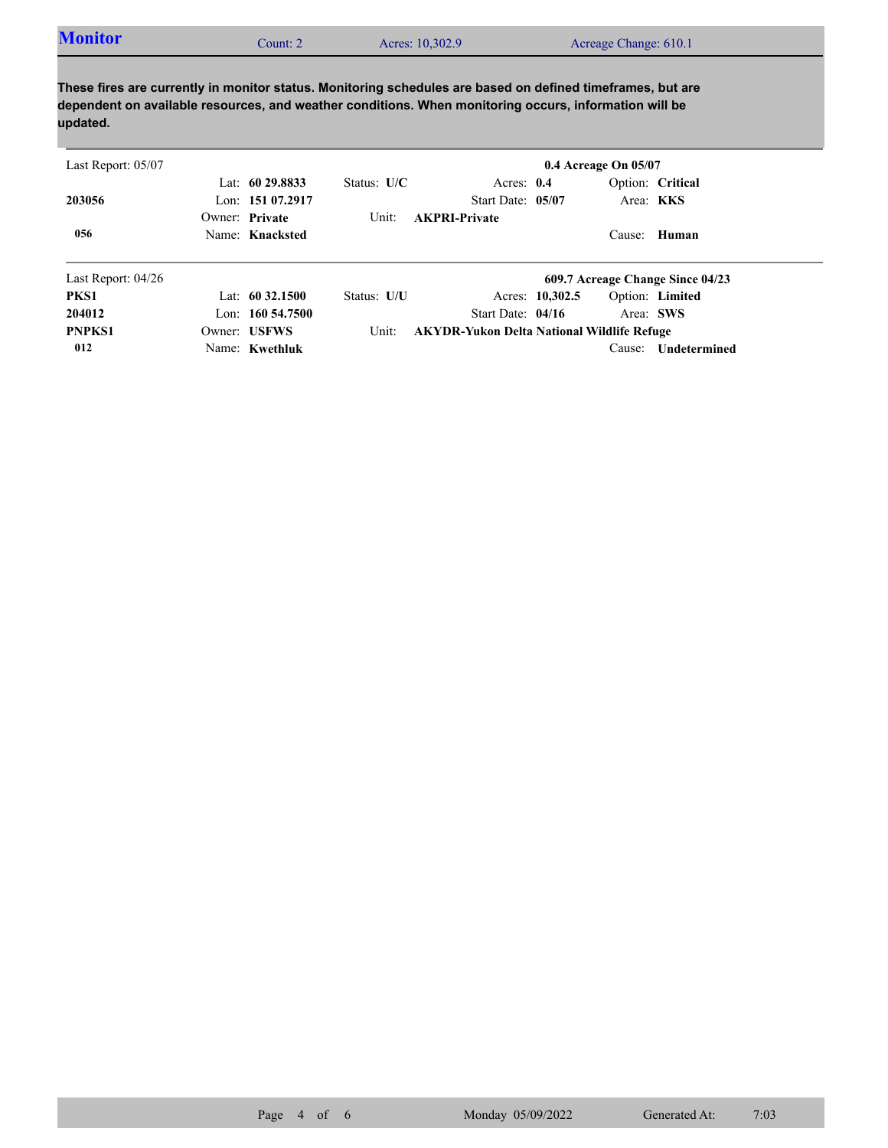| <b>Monitor</b><br>Acres: 10,302.9<br>`ount: 2 | Acreage Change: 610.1 |
|-----------------------------------------------|-----------------------|
|-----------------------------------------------|-----------------------|

**These fires are currently in monitor status. Monitoring schedules are based on defined timeframes, but are dependent on available resources, and weather conditions. When monitoring occurs, information will be updated.**

| Last Report: 05/07   |                    |               |                                                   |                 | 0.4 Acreage On 05/07 |                                  |  |
|----------------------|--------------------|---------------|---------------------------------------------------|-----------------|----------------------|----------------------------------|--|
|                      | Lat: $6029.8833$   | Status: $U/C$ | Acres: $0.4$                                      |                 |                      | Option: Critical                 |  |
| 203056               | Lon: $15107.2917$  |               | Start Date: 05/07                                 |                 |                      | Area: KKS                        |  |
|                      | Owner: Private     | Unit:         | <b>AKPRI-Private</b>                              |                 |                      |                                  |  |
| 056                  | Name: Knacksted    |               |                                                   |                 | Cause:               | Human                            |  |
| Last Report: $04/26$ |                    |               |                                                   |                 |                      | 609.7 Acreage Change Since 04/23 |  |
| PKS1                 | Lat: $60\,32.1500$ | Status: U/U   |                                                   | Acres: 10,302.5 |                      | Option: Limited                  |  |
| 204012               | Lon: $160,54,7500$ |               | Start Date: $04/16$                               |                 |                      | Area: SWS                        |  |
| <b>PNPKS1</b>        | Owner: USFWS       | Unit:         | <b>AKYDR-Yukon Delta National Wildlife Refuge</b> |                 |                      |                                  |  |
| 012                  | Name: Kwethluk     |               |                                                   |                 | Cause:               | Undetermined                     |  |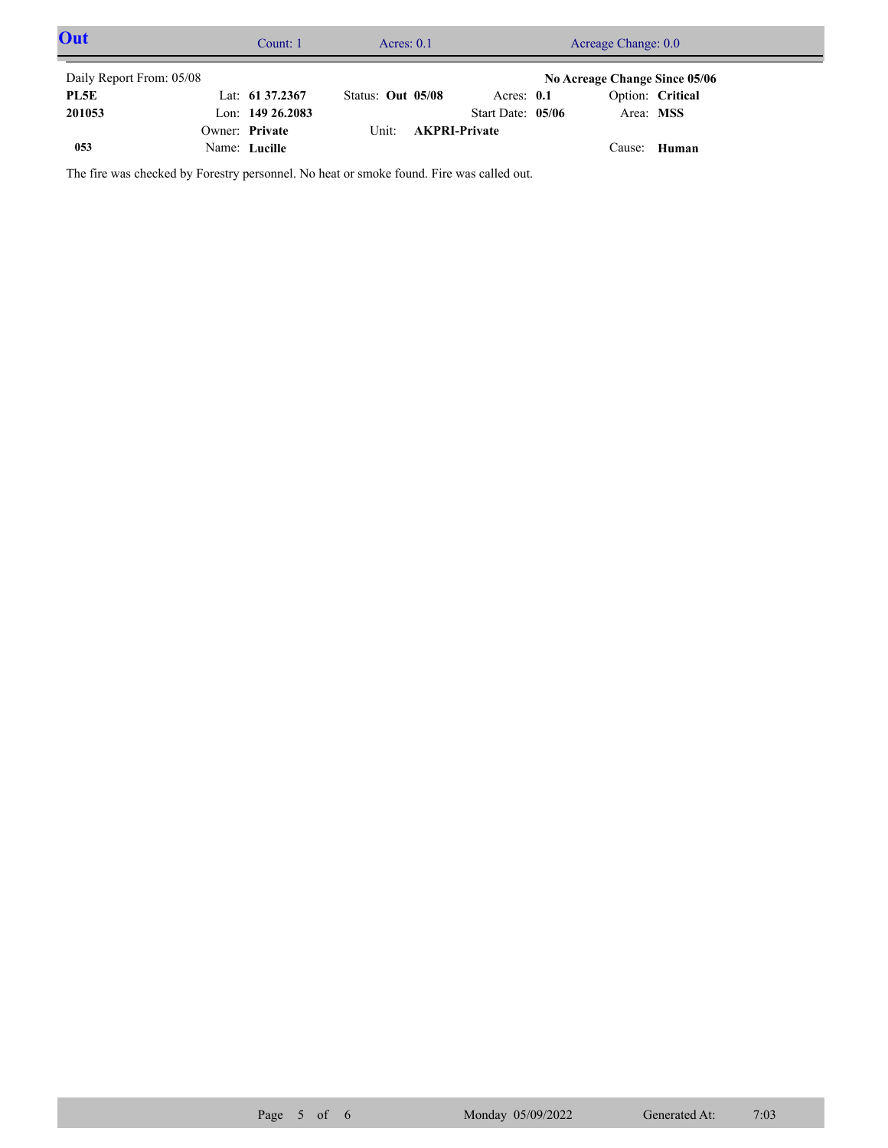| Out                      | Count: 1            | Acres: $0.1$      |                      | Acreage Change: 0.0           |  |
|--------------------------|---------------------|-------------------|----------------------|-------------------------------|--|
| Daily Report From: 05/08 |                     |                   |                      | No Acreage Change Since 05/06 |  |
| PL5E                     | Lat: $61\,37.2367$  | Status: Out 05/08 | Acres: $0.1$         | Option: Critical              |  |
| 201053                   | Lon: $149\,26.2083$ |                   | Start Date: 05/06    | Area: MSS                     |  |
|                          | Owner: Private      | Unit:             | <b>AKPRI-Private</b> |                               |  |
| 053                      | Name: Lucille       |                   |                      | Cause: Human                  |  |

The fire was checked by Forestry personnel. No heat or smoke found. Fire was called out.